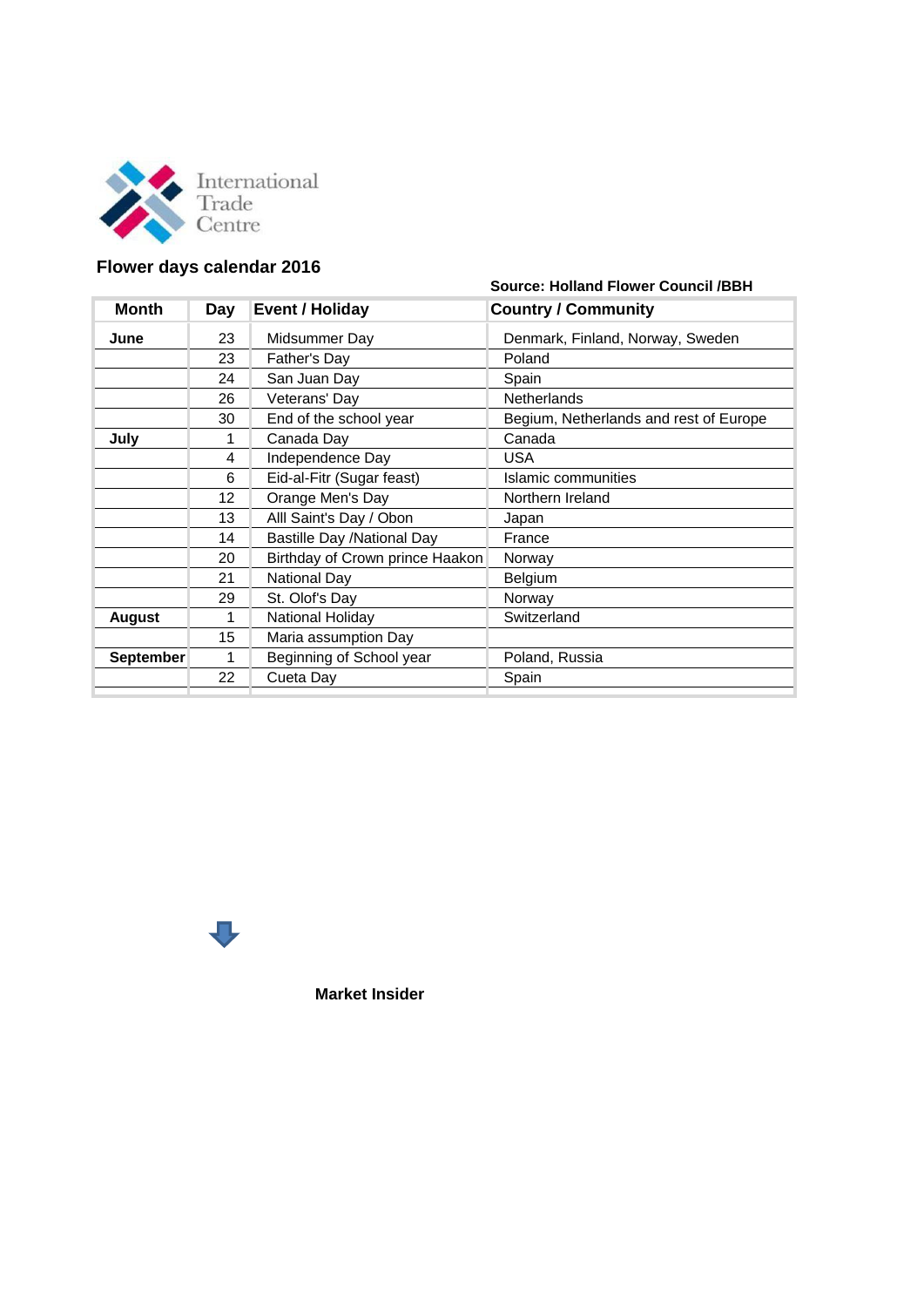

## **Flower days calendar 2016**

## **Source: Holland Flower Council /BBH**

| <b>Month</b>     | Day | <b>Event / Holiday</b>          | <b>Country / Community</b>             |
|------------------|-----|---------------------------------|----------------------------------------|
| June             | 23  | Midsummer Day                   | Denmark, Finland, Norway, Sweden       |
|                  | 23  | Father's Day                    | Poland                                 |
|                  | 24  | San Juan Day                    | Spain                                  |
|                  | 26  | Veterans' Day                   | <b>Netherlands</b>                     |
|                  | 30  | End of the school year          | Begium, Netherlands and rest of Europe |
| July             | 1   | Canada Day                      | Canada                                 |
|                  | 4   | Independence Day                | <b>USA</b>                             |
|                  | 6   | Eid-al-Fitr (Sugar feast)       | Islamic communities                    |
|                  | 12  | Orange Men's Day                | Northern Ireland                       |
|                  | 13  | Alll Saint's Day / Obon         | Japan                                  |
|                  | 14  | Bastille Day /National Day      | France                                 |
|                  | 20  | Birthday of Crown prince Haakon | Norway                                 |
|                  | 21  | <b>National Day</b>             | Belgium                                |
|                  | 29  | St. Olof's Day                  | Norway                                 |
| <b>August</b>    | 1   | National Holiday                | Switzerland                            |
|                  | 15  | Maria assumption Day            |                                        |
| <b>September</b> |     | Beginning of School year        | Poland, Russia                         |
|                  | 22  | Cueta Day                       | Spain                                  |
|                  |     |                                 |                                        |



**Market Insider**